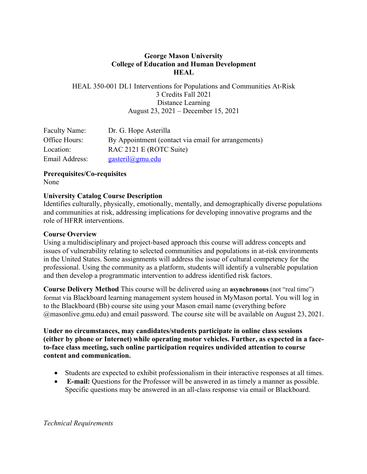# **George Mason University College of Education and Human Development HEAL**

HEAL 350-001 DL1 Interventions for Populations and Communities At-Risk 3 Credits Fall 2021 Distance Learning August 23, 2021 – December 15, 2021

| <b>Faculty Name:</b> | Dr. G. Hope Asterilla                               |
|----------------------|-----------------------------------------------------|
| Office Hours:        | By Appointment (contact via email for arrangements) |
| Location:            | RAC 2121 E (ROTC Suite)                             |
| Email Address:       | $gasteril(\partial gmu.edu)$                        |

**Prerequisites/Co-requisites**  None

## **University Catalog Course Description**

Identifies culturally, physically, emotionally, mentally, and demographically diverse populations and communities at risk, addressing implications for developing innovative programs and the role of HFRR interventions.

## **Course Overview**

Using a multidisciplinary and project-based approach this course will address concepts and issues of vulnerability relating to selected communities and populations in at-risk environments in the United States. Some assignments will address the issue of cultural competency for the professional. Using the community as a platform, students will identify a vulnerable population and then develop a programmatic intervention to address identified risk factors.

**Course Delivery Method** This course will be delivered using an **asynchronous** (not "real time") format via Blackboard learning management system housed in MyMason portal. You will log in to the Blackboard (Bb) course site using your Mason email name (everything before @masonlive.gmu.edu) and email password. The course site will be available on August 23, 2021.

**Under no circumstances, may candidates/students participate in online class sessions (either by phone or Internet) while operating motor vehicles. Further, as expected in a faceto-face class meeting, such online participation requires undivided attention to course content and communication.** 

- Students are expected to exhibit professionalism in their interactive responses at all times.
- **E-mail:** Questions for the Professor will be answered in as timely a manner as possible. Specific questions may be answered in an all-class response via email or Blackboard.

*Technical Requirements*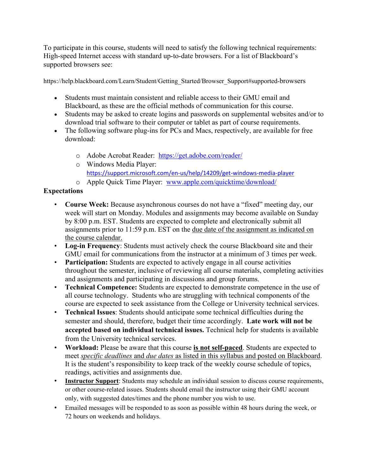To participate in this course, students will need to satisfy the following technical requirements: High-speed Internet access with standard up-to-date browsers. For a list of Blackboard's supported browsers see:

https://help.blackboard.com/Learn/Student/Getting\_Started/Browser\_Support#supported-browsers

- Students must maintain consistent and reliable access to their GMU email and Blackboard, as these are the official methods of communication for this course.
- Students may be asked to create logins and passwords on supplemental websites and/or to download trial software to their computer or tablet as part of course requirements.
- The following software plug-ins for PCs and Macs, respectively, are available for free download:
	- o Adobe Acrobat Reader: https://get.adobe.com/reader/
	- o Windows Media Player: https://support.microsoft.com/en-us/help/14209/get-windows-media-player
	- o Apple Quick Time Player: www.apple.com/quicktime/download/

# **Expectations**

- **Course Week:** Because asynchronous courses do not have a "fixed" meeting day, our week will start on Monday. Modules and assignments may become available on Sunday by 8:00 p.m. EST. Students are expected to complete and electronically submit all assignments prior to 11:59 p.m. EST on the due date of the assignment as indicated on the course calendar.
- **Log-in Frequency**: Students must actively check the course Blackboard site and their GMU email for communications from the instructor at a minimum of 3 times per week.
- **Participation:** Students are expected to actively engage in all course activities throughout the semester, inclusive of reviewing all course materials, completing activities and assignments and participating in discussions and group forums.
- **Technical Competence:** Students are expected to demonstrate competence in the use of all course technology. Students who are struggling with technical components of the course are expected to seek assistance from the College or University technical services.
- **Technical Issues**: Students should anticipate some technical difficulties during the semester and should, therefore, budget their time accordingly. **Late work will not be accepted based on individual technical issues.** Technical help for students is available from the University technical services.
- **Workload:** Please be aware that this course **is not self-paced**. Students are expected to meet *specific deadlines* and *due dates* as listed in this syllabus and posted on Blackboard. It is the student's responsibility to keep track of the weekly course schedule of topics, readings, activities and assignments due.
- **Instructor Support**: Students may schedule an individual session to discuss course requirements, or other course-related issues. Students should email the instructor using their GMU account only, with suggested dates/times and the phone number you wish to use.
- Emailed messages will be responded to as soon as possible within 48 hours during the week, or 72 hours on weekends and holidays.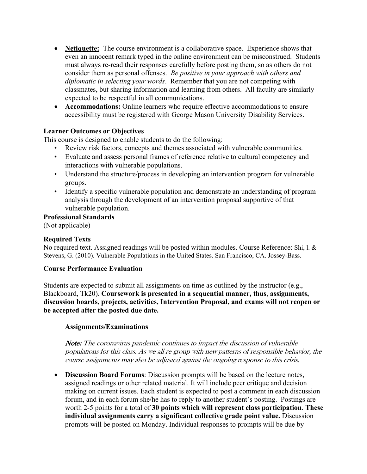- **Netiquette:** The course environment is a collaborative space. Experience shows that even an innocent remark typed in the online environment can be misconstrued. Students must always re-read their responses carefully before posting them, so as others do not consider them as personal offenses. *Be positive in your approach with others and diplomatic in selecting your words*. Remember that you are not competing with classmates, but sharing information and learning from others. All faculty are similarly expected to be respectful in all communications.
- **Accommodations:** Online learners who require effective accommodations to ensure accessibility must be registered with George Mason University Disability Services.

## **Learner Outcomes or Objectives**

This course is designed to enable students to do the following:

- Review risk factors, concepts and themes associated with vulnerable communities.
- Evaluate and assess personal frames of reference relative to cultural competency and interactions with vulnerable populations.
- Understand the structure/process in developing an intervention program for vulnerable groups.
- Identify a specific vulnerable population and demonstrate an understanding of program analysis through the development of an intervention proposal supportive of that vulnerable population.

#### **Professional Standards**

(Not applicable)

## **Required Texts**

No required text. Assigned readings will be posted within modules. Course Reference: Shi, l. & Stevens, G. (2010). Vulnerable Populations in the United States. San Francisco, CA. Jossey-Bass.

#### **Course Performance Evaluation**

Students are expected to submit all assignments on time as outlined by the instructor (e.g., Blackboard, Tk20). **Coursework is presented in a sequential manner, thus**, **assignments, discussion boards, projects, activities, Intervention Proposal, and exams will not reopen or be accepted after the posted due date.**

#### **Assignments/Examinations**

Note: The coronavirus pandemic continues to impact the discussion of vulnerable populations for this class. As we all re-group with new patterns of responsible behavior, the course assignments may also be adjusted against the ongoing response to this crisis.

• **Discussion Board Forums**: Discussion prompts will be based on the lecture notes, assigned readings or other related material. It will include peer critique and decision making on current issues. Each student is expected to post a comment in each discussion forum, and in each forum she/he has to reply to another student's posting. Postings are worth 2-5 points for a total of **30 points which will represent class participation**. **These individual assignments carry a significant collective grade point value.** Discussion prompts will be posted on Monday. Individual responses to prompts will be due by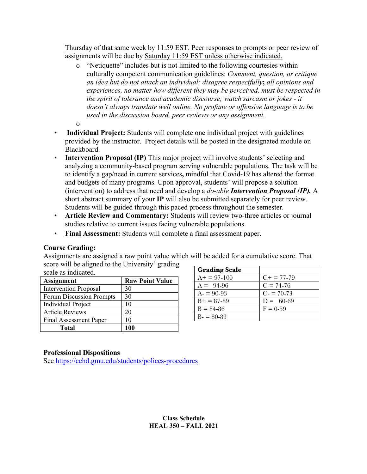Thursday of that same week by 11:59 EST. Peer responses to prompts or peer review of assignments will be due by Saturday 11:59 EST unless otherwise indicated.

- o "Netiquette" includes but is not limited to the following courtesies within culturally competent communication guidelines: *Comment, question, or critique an idea but do not attack an individual; disagree respectfully***;** *all opinions and experiences, no matter how different they may be perceived, must be respected in the spirit of tolerance and academic discourse; watch sarcasm or jokes - it doesn't always translate well online. No profane or offensive language is to be used in the discussion board, peer reviews or any assignment.*
- o
- **Individual Project:** Students will complete one individual project with guidelines provided by the instructor. Project details will be posted in the designated module on Blackboard.
- **Intervention Proposal (IP)** This major project will involve students' selecting and analyzing a community-based program serving vulnerable populations. The task will be to identify a gap/need in current services**,** mindful that Covid-19 has altered the format and budgets of many programs. Upon approval, students' will propose a solution (intervention) to address that need and develop a *do-able Intervention Proposal (IP).* A short abstract summary of your **IP** will also be submitted separately for peer review. Students will be guided through this paced process throughout the semester.
- **Article Review and Commentary:** Students will review two-three articles or journal studies relative to current issues facing vulnerable populations.
- **Final Assessment:** Students will complete a final assessment paper.

## **Course Grading:**

Assignments are assigned a raw point value which will be added for a cumulative score. That score will be aligned to the University' grading scale as indicated.

| <b>Assignment</b>            | <b>Raw Point Value</b> |  |  |  |
|------------------------------|------------------------|--|--|--|
| <b>Intervention Proposal</b> | 30                     |  |  |  |
| Forum Discussion Prompts     | 30                     |  |  |  |
| Individual Project           | 10                     |  |  |  |
| <b>Article Reviews</b>       | 20                     |  |  |  |
| Final Assessment Paper       | 10                     |  |  |  |
| Total                        |                        |  |  |  |

| <b>Grading Scale</b> |                        |
|----------------------|------------------------|
| $A+ = 97-100$        | $C_{\rm{+}} = 77 - 79$ |
| $A = 94-96$          | $C = 74-76$            |
| $A = 90-93$          | $C = 70-73$            |
| $B+ = 87-89$         | $D = 60-69$            |
| $B = 84 - 86$        | $F = 0.59$             |
| $B = 80 - 83$        |                        |

## **Professional Dispositions**

See https://cehd.gmu.edu/students/polices-procedures

## **Class Schedule HEAL 350 – FALL 2021**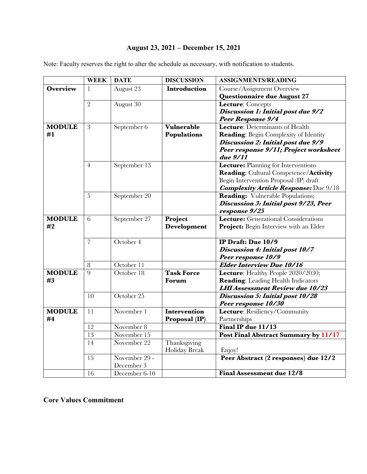# **August 23, 2021 – December 15, 2021**

Note: Faculty reserves the right to alter the schedule as necessary, with notification to students.

|                     | <b>WEEK</b>     | <b>DATE</b>   | <b>DISCUSSION</b> | <b>ASSIGNMENTS/READING</b>                   |
|---------------------|-----------------|---------------|-------------------|----------------------------------------------|
| <b>Overview</b>     | 1               | August 23     | Introduction      | Course/Assignment Overview                   |
|                     |                 |               |                   | Questionnaire due August 27                  |
|                     | $\overline{2}$  | August 30     |                   | Lecture: Concepts                            |
|                     |                 |               |                   | Discussion 1: Initial post due 9/2           |
|                     |                 |               |                   | <b>Peer Response 9/4</b>                     |
| <b>MODULE</b><br>#1 | 3               | September 6   | <b>Vulnerable</b> | Lecture: Determinants of Health              |
|                     |                 |               | Populations       | <b>Reading:</b> Begin Complexity of Identity |
|                     |                 |               |                   | Discussion 2: Initial post due 9/9           |
|                     |                 |               |                   | Peer response 9/11; Project worksheet        |
|                     |                 |               |                   | due 9/11                                     |
|                     | $\overline{4}$  | September 13  |                   | Lecture: Planning for Interventions          |
|                     |                 |               |                   | Reading: Cultural Competence/Activity        |
|                     |                 |               |                   | Begin Intervention Proposal (IP) draft       |
|                     |                 |               |                   | <b>Complexity Article Response:</b> Due 9/18 |
|                     | 5               | September 20  |                   | Reading: Vulnerable Populations;             |
|                     |                 |               |                   | Discussion 3: Initial post 9/23, Peer        |
|                     |                 |               |                   | response 9/25                                |
| <b>MODULE</b>       | 6               | September 27  | Project           | Lecture: Generational Considerations         |
| #2                  |                 |               | Development       | Project: Begin Interview with an Elder       |
|                     | $\overline{7}$  | October 4     |                   | IP Draft: Due 10/9                           |
|                     |                 |               |                   | Discussion 4: Initial post 10/7              |
|                     |                 |               |                   | Peer response 10/9                           |
|                     | 8               | October 11    |                   | <b>Elder Interview Due 10/16</b>             |
| <b>MODULE</b>       | 9               | October 18    | <b>Task Force</b> | Lecture: Healthy People 2020/2030;           |
| #3                  |                 |               | Forum             | <b>Reading:</b> Leading Health Indicators    |
|                     |                 |               |                   | <b>LHI Assessment Review due 10/23</b>       |
|                     | 10              | October 25    |                   | Discussion 5: Initial post 10/28             |
|                     |                 |               |                   | Peer response 10/30                          |
| <b>MODULE</b>       | 11              | November 1    | Intervention      | Lecture: Resiliency/Community                |
| #4                  |                 |               | Proposal (IP)     | Partnerships                                 |
|                     | 12              | November 8    |                   | Final IP due 11/13                           |
|                     | 13              | November 15   |                   | Post Final Abstract Summary by 11/17         |
|                     | $\overline{14}$ | November 22   | Thanksgiving      |                                              |
|                     |                 |               | Holiday Break     | Enjoy!                                       |
|                     | 15              | November 29 - |                   | Peer Abstract (2 responses) due 12/2         |
|                     |                 | December 3    |                   |                                              |
|                     | 16              | December 6-10 |                   | <b>Final Assessment due 12/8</b>             |

**Core Values Commitment**